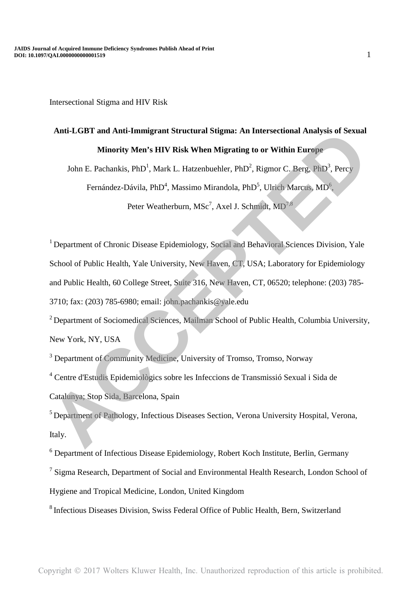# **Anti-LGBT and Anti-Immigrant Structural Stigma: An Intersectional Analysis of Sexual Minority Men's HIV Risk When Migrating to or Within Europe**

John E. Pachankis, PhD<sup>1</sup>, Mark L. Hatzenbuehler, PhD<sup>2</sup>, Rigmor C. Berg, PhD<sup>3</sup>, Percy

Fernández-Dávila, PhD<sup>4</sup>, Massimo Mirandola, PhD<sup>5</sup>, Ulrich Marcus, MD<sup>6</sup>,

Peter Weatherburn, MSc<sup>7</sup>, Axel J. Schmidt, MD<sup>7,8</sup>

<sup>1</sup> Department of Chronic Disease Epidemiology, Social and Behavioral Sciences Division, Yale School of Public Health, Yale University, New Haven, CT, USA; Laboratory for Epidemiology and Public Health, 60 College Street, Suite 316, New Haven, CT, 06520; telephone: (203) 785- 3710; fax: (203) 785-6980; email: john.pachankis@yale.edu Anti-LGBT and Anti-Immigrant Structural Stigma: An Intersectional Analysis of Sexual<br>Minority Men's HIV Risk When Migrating to or Within Europe<br>John E. Pachankis, PhD<sup>1</sup>, Mark L. Hatzenbuelner, PhD<sup>3</sup>, Rigmor C. Berg, PhD<sup></sup>

<sup>2</sup> Department of Sociomedical Sciences, Mailman School of Public Health, Columbia University, New York, NY, USA

<sup>3</sup> Department of Community Medicine, University of Tromso, Tromso, Norway

4 Centre d'Estudis Epidemiològics sobre les Infeccions de Transmissió Sexual i Sida de Catalunya; Stop Sida, Barcelona, Spain

<sup>5</sup> Department of Pathology, Infectious Diseases Section, Verona University Hospital, Verona, Italy.

<sup>6</sup> Department of Infectious Disease Epidemiology, Robert Koch Institute, Berlin, Germany

<sup>7</sup> Sigma Research, Department of Social and Environmental Health Research, London School of

Hygiene and Tropical Medicine, London, United Kingdom

<sup>8</sup> Infectious Diseases Division, Swiss Federal Office of Public Health, Bern, Switzerland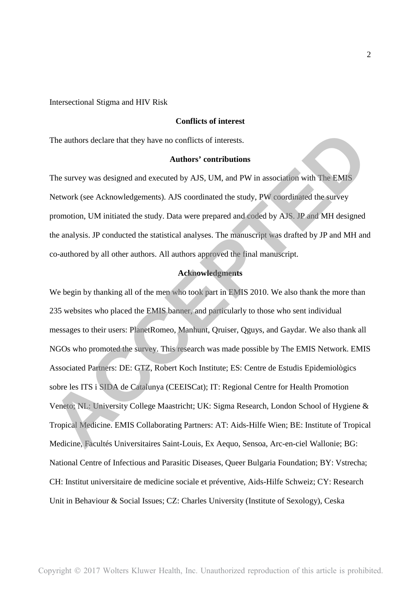# **Conflicts of interest**

The authors declare that they have no conflicts of interests.

## **Authors' contributions**

The survey was designed and executed by AJS, UM, and PW in association with The EMIS Network (see Acknowledgements). AJS coordinated the study, PW coordinated the survey promotion, UM initiated the study. Data were prepared and coded by AJS. JP and MH designed the analysis. JP conducted the statistical analyses. The manuscript was drafted by JP and MH and co-authored by all other authors. All authors approved the final manuscript.

# **Acknowledgments**

We begin by thanking all of the men who took part in EMIS 2010. We also thank the more than 235 websites who placed the EMIS banner, and particularly to those who sent individual messages to their users: PlanetRomeo, Manhunt, Qruiser, Qguys, and Gaydar. We also thank all NGOs who promoted the survey. This research was made possible by The EMIS Network. EMIS Associated Partners: DE: GTZ, Robert Koch Institute; ES: Centre de Estudis Epidemiològics sobre les ITS i SIDA de Catalunya (CEEISCat); IT: Regional Centre for Health Promotion Veneto; NL: University College Maastricht; UK: Sigma Research, London School of Hygiene & Tropical Medicine. EMIS Collaborating Partners: AT: Aids-Hilfe Wien; BE: Institute of Tropical Medicine, Facultés Universitaires Saint-Louis, Ex Aequo, Sensoa, Arc-en-ciel Wallonie; BG: National Centre of Infectious and Parasitic Diseases, Queer Bulgaria Foundation; BY: Vstrecha; CH: Institut universitaire de medicine sociale et préventive, Aids-Hilfe Schweiz; CY: Research Unit in Behaviour & Social Issues; CZ: Charles University (Institute of Sexology), Ceska The authors declare that they have no conflicts of interests.<br> **Authors' contributions**<br> **Authors'** contributions<br>
The survey was designed and executed by AJS, UM, and PW in association with The EMIS<br>
Network (see Acknowle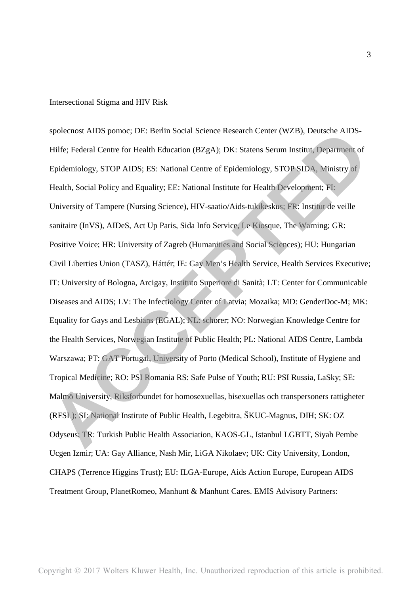spolecnost AIDS pomoc; DE: Berlin Social Science Research Center (WZB), Deutsche AIDS-Hilfe; Federal Centre for Health Education (BZgA); DK: Statens Serum Institut, Department of Epidemiology, STOP AIDS; ES: National Centre of Epidemiology, STOP SIDA, Ministry of Health, Social Policy and Equality; EE: National Institute for Health Development; FI: University of Tampere (Nursing Science), HIV-saatio/Aids-tukikeskus; FR: Institut de veille sanitaire (InVS), AIDeS, Act Up Paris, Sida Info Service, Le Kiosque, The Warning; GR: Positive Voice; HR: University of Zagreb (Humanities and Social Sciences); HU: Hungarian Civil Liberties Union (TASZ), Háttér; IE: Gay Men's Health Service, Health Services Executive; IT: University of Bologna, Arcigay, Instituto Superiore di Sanità; LT: Center for Communicable Diseases and AIDS; LV: The Infectiology Center of Latvia; Mozaika; MD: GenderDoc-M; MK: Equality for Gays and Lesbians (EGAL); NL: schorer; NO: Norwegian Knowledge Centre for the Health Services, Norwegian Institute of Public Health; PL: National AIDS Centre, Lambda Warszawa; PT: GAT Portugal, University of Porto (Medical School), Institute of Hygiene and Tropical Medicine; RO: PSI Romania RS: Safe Pulse of Youth; RU: PSI Russia, LaSky; SE: Malmö University, Riksforbundet for homosexuellas, bisexuellas och transpersoners rattigheter (RFSL); SI: National Institute of Public Health, Legebitra, ŠKUC-Magnus, DIH; SK: OZ Odyseus; TR: Turkish Public Health Association, KAOS-GL, Istanbul LGBTT, Siyah Pembe Ucgen Izmir; UA: Gay Alliance, Nash Mir, LiGA Nikolaev; UK: City University, London, CHAPS (Terrence Higgins Trust); EU: ILGA-Europe, Aids Action Europe, European AIDS Treatment Group, PlanetRomeo, Manhunt & Manhunt Cares. EMIS Advisory Partners: spolecnost AIDS pomoc: DE: Berlin Social Science Research Center (WZB), Deutsche AIDS-<br>Hilfe: Federal Centre for Health Education (BZgA): DK: Statens Serum Institut, Department of<br>Fipidemiology, STOP AIDS; ES: National Cen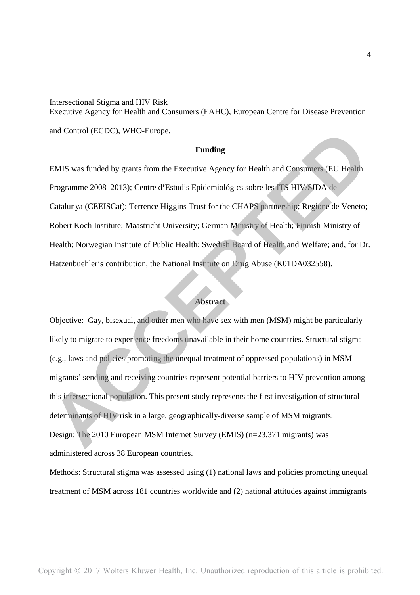Intersectional Stigma and HIV Risk Executive Agency for Health and Consumers (EAHC), European Centre for Disease Prevention and Control (ECDC), WHO-Europe.

#### **Funding**

EMIS was funded by grants from the Executive Agency for Health and Consumers (EU Health Programme 2008–2013); Centre d**'**Estudis Epidemiológics sobre les ITS HIV/SIDA de Catalunya (CEEISCat); Terrence Higgins Trust for the CHAPS partnership; Regione de Veneto; Robert Koch Institute; Maastricht University; German Ministry of Health; Finnish Ministry of Health; Norwegian Institute of Public Health; Swedish Board of Health and Welfare; and, for Dr. Hatzenbuehler's contribution, the National Institute on Drug Abuse (K01DA032558).

# **Abstract**

Objective: Gay, bisexual, and other men who have sex with men (MSM) might be particularly likely to migrate to experience freedoms unavailable in their home countries. Structural stigma (e.g., laws and policies promoting the unequal treatment of oppressed populations) in MSM migrants' sending and receiving countries represent potential barriers to HIV prevention among this intersectional population. This present study represents the first investigation of structural determinants of HIV risk in a large, geographically-diverse sample of MSM migrants. Design: The 2010 European MSM Internet Survey (EMIS) (n=23,371 migrants) was administered across 38 European countries. and Control (ECDC), WHO-Europe.<br> **ACCEPTED**<br> **ACCEPTED**<br> **ACCEPTED**<br> **ACCEPTED**<br> **ACCEPTED**<br> **ACCEPTED**<br> **ACCEPTED**<br> **ACCEPTED**<br> **ACCEPTED**<br> **ACCEPTED**<br> **ACCEPTED**<br> **ACCEPTED**<br> **ACCEPTED**<br> **ACCEPTED**<br> **ACCEPTED**<br> **ACCEPTED** 

Methods: Structural stigma was assessed using (1) national laws and policies promoting unequal treatment of MSM across 181 countries worldwide and (2) national attitudes against immigrants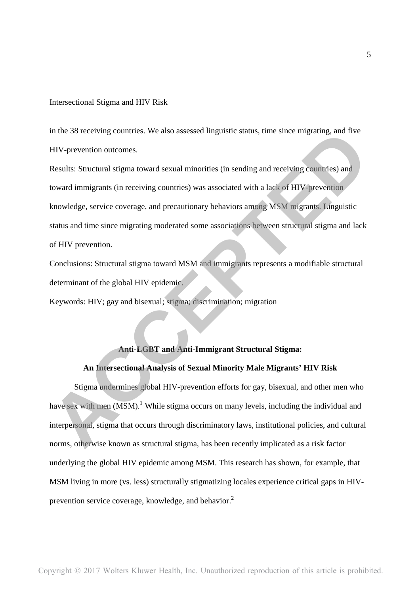in the 38 receiving countries. We also assessed linguistic status, time since migrating, and five HIV-prevention outcomes.

Results: Structural stigma toward sexual minorities (in sending and receiving countries) and toward immigrants (in receiving countries) was associated with a lack of HIV-prevention knowledge, service coverage, and precautionary behaviors among MSM migrants. Linguistic status and time since migrating moderated some associations between structural stigma and lack of HIV prevention. in the 38 receiving countries. We also assessed linguistic status, time since migrating, and five HIV-prevention outcomes.<br>
Hesults: Structural stigma toward sexual minorities (in sending and receiving countries) and<br>
towa

Conclusions: Structural stigma toward MSM and immigrants represents a modifiable structural determinant of the global HIV epidemic.

Keywords: HIV; gay and bisexual; stigma; discrimination; migration

# **Anti-LGBT and Anti-Immigrant Structural Stigma:**

# **An Intersectional Analysis of Sexual Minority Male Migrants' HIV Risk**

Stigma undermines global HIV-prevention efforts for gay, bisexual, and other men who have sex with men  $(MSM)$ .<sup>1</sup> While stigma occurs on many levels, including the individual and interpersonal, stigma that occurs through discriminatory laws, institutional policies, and cultural norms, otherwise known as structural stigma, has been recently implicated as a risk factor underlying the global HIV epidemic among MSM. This research has shown, for example, that MSM living in more (vs. less) structurally stigmatizing locales experience critical gaps in HIVprevention service coverage, knowledge, and behavior. $2$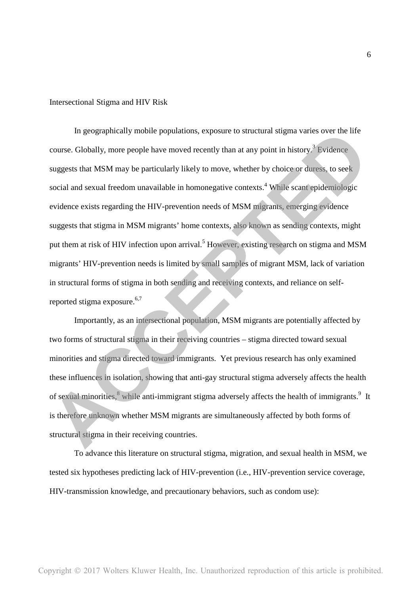In geographically mobile populations, exposure to structural stigma varies over the life course. Globally, more people have moved recently than at any point in history.<sup>3</sup> Evidence suggests that MSM may be particularly likely to move, whether by choice or duress, to seek social and sexual freedom unavailable in homonegative contexts.<sup>4</sup> While scant epidemiologic evidence exists regarding the HIV-prevention needs of MSM migrants, emerging evidence suggests that stigma in MSM migrants' home contexts, also known as sending contexts, might put them at risk of HIV infection upon arrival.<sup>5</sup> However, existing research on stigma and MSM migrants' HIV-prevention needs is limited by small samples of migrant MSM, lack of variation in structural forms of stigma in both sending and receiving contexts, and reliance on selfreported stigma exposure. $6,7$ In geographically mobile populations, exposure to structural stigma varies over the life<br>course. Globally, more people have moved recently than at any point in history.<sup>9</sup> Evidence<br>suggests that MSM may be particularly lik

Importantly, as an intersectional population, MSM migrants are potentially affected by two forms of structural stigma in their receiving countries – stigma directed toward sexual minorities and stigma directed toward immigrants. Yet previous research has only examined these influences in isolation, showing that anti-gay structural stigma adversely affects the health of sexual minorities, <sup>8</sup> while anti-immigrant stigma adversely affects the health of immigrants.<sup>9</sup> It is therefore unknown whether MSM migrants are simultaneously affected by both forms of structural stigma in their receiving countries.

To advance this literature on structural stigma, migration, and sexual health in MSM, we tested six hypotheses predicting lack of HIV-prevention (i.e., HIV-prevention service coverage, HIV-transmission knowledge, and precautionary behaviors, such as condom use):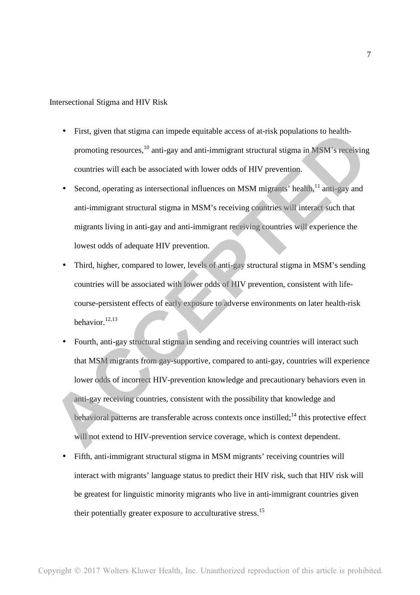- First, given that stigma can impede equitable access of at-risk populations to healthpromoting resources,<sup>10</sup> anti-gay and anti-immigrant structural stigma in MSM's receiving countries will each be associated with lower odds of HIV prevention.
- Second, operating as intersectional influences on MSM migrants' health, $^{11}$  anti-gay and anti-immigrant structural stigma in MSM's receiving countries will interact such that migrants living in anti-gay and anti-immigrant receiving countries will experience the lowest odds of adequate HIV prevention.
- Third, higher, compared to lower, levels of anti-gay structural stigma in MSM's sending countries will be associated with lower odds of HIV prevention, consistent with lifecourse-persistent effects of early exposure to adverse environments on later health-risk behavior.<sup>12,13</sup>
- Fourth, anti-gay structural stigma in sending and receiving countries will interact such that MSM migrants from gay-supportive, compared to anti-gay, countries will experience lower odds of incorrect HIV-prevention knowledge and precautionary behaviors even in anti-gay receiving countries, consistent with the possibility that knowledge and behavioral patterns are transferable across contexts once instilled;<sup>14</sup> this protective effect will not extend to HIV-prevention service coverage, which is context dependent. • First, given that stigma can impede equitable access of at-risk populations to health-<br>promoting resources,<sup>10</sup> anti-gay and anti-immigrant structural stigma in MSM's receiving<br>countries will each be associated with lo
	- Fifth, anti-immigrant structural stigma in MSM migrants' receiving countries will interact with migrants' language status to predict their HIV risk, such that HIV risk will be greatest for linguistic minority migrants who live in anti-immigrant countries given their potentially greater exposure to acculturative stress.<sup>15</sup>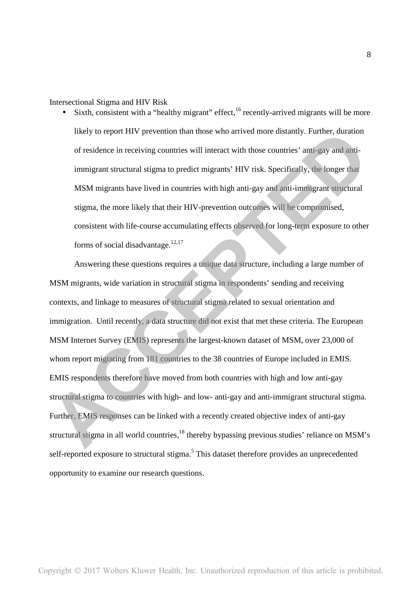• Sixth, consistent with a "healthy migrant" effect,  $16$  recently-arrived migrants will be more likely to report HIV prevention than those who arrived more distantly. Further, duration of residence in receiving countries will interact with those countries' anti-gay and antiimmigrant structural stigma to predict migrants' HIV risk. Specifically, the longer that MSM migrants have lived in countries with high anti-gay and anti-immigrant structural stigma, the more likely that their HIV-prevention outcomes will be compromised, consistent with life-course accumulating effects observed for long-term exposure to other forms of social disadvantage. $12,17$ 

Answering these questions requires a unique data structure, including a large number of MSM migrants, wide variation in structural stigma in respondents' sending and receiving contexts, and linkage to measures of structural stigma related to sexual orientation and immigration. Until recently, a data structure did not exist that met these criteria. The European MSM Internet Survey (EMIS) represents the largest-known dataset of MSM, over 23,000 of whom report migrating from 181 countries to the 38 countries of Europe included in EMIS. EMIS respondents therefore have moved from both countries with high and low anti-gay structural stigma to countries with high- and low- anti-gay and anti-immigrant structural stigma. Further, EMIS responses can be linked with a recently created objective index of anti-gay structural stigma in all world countries,<sup>18</sup> thereby bypassing previous studies' reliance on MSM's self-reported exposure to structural stigma.<sup>5</sup> This dataset therefore provides an unprecedented opportunity to examine our research questions. likely to report HIV prevention than those who arrived more distantly, Further, duration<br>of residence in receiving countries will interact with those countries' anti-gay and anti-<br>immigrant structural stigma to predict mig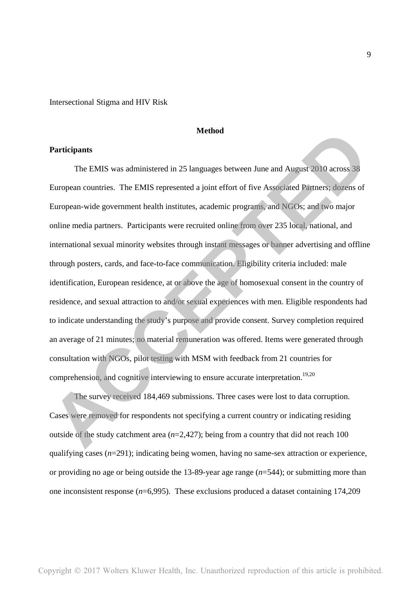# **Method**

# **Participants**

The EMIS was administered in 25 languages between June and August 2010 across 38 European countries. The EMIS represented a joint effort of five Associated Partners; dozens of European-wide government health institutes, academic programs, and NGOs; and two major online media partners. Participants were recruited online from over 235 local, national, and international sexual minority websites through instant messages or banner advertising and offline through posters, cards, and face-to-face communication. Eligibility criteria included: male identification, European residence, at or above the age of homosexual consent in the country of residence, and sexual attraction to and/or sexual experiences with men. Eligible respondents had to indicate understanding the study's purpose and provide consent. Survey completion required an average of 21 minutes; no material remuneration was offered. Items were generated through consultation with NGOs, pilot testing with MSM with feedback from 21 countries for comprehension, and cognitive interviewing to ensure accurate interpretation.<sup>19,20</sup> **Accord Method**<br>
The EMIS was administered in 25 languages between June and August 2010 across 38<br>
European countries. The EMIS represented a joint effort of five Associated Pietners, dozens of<br>
European-wide government h

The survey received 184,469 submissions. Three cases were lost to data corruption. Cases were removed for respondents not specifying a current country or indicating residing outside of the study catchment area (*n*=2,427); being from a country that did not reach 100 qualifying cases  $(n=291)$ ; indicating being women, having no same-sex attraction or experience, or providing no age or being outside the 13-89-year age range (*n*=544); or submitting more than one inconsistent response (*n*=6,995). These exclusions produced a dataset containing 174,209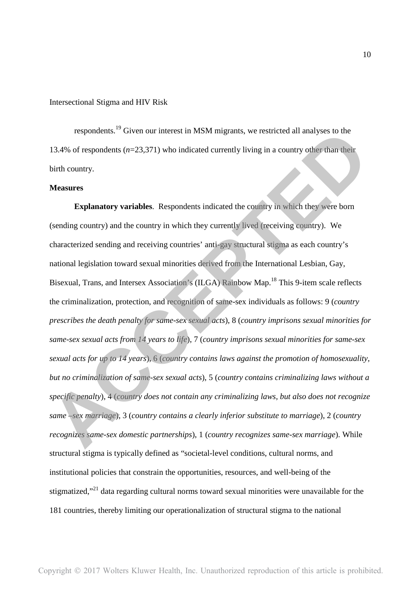respondents.<sup>19</sup> Given our interest in MSM migrants, we restricted all analyses to the 13.4% of respondents (*n*=23,371) who indicated currently living in a country other than their birth country.

# **Measures**

**Explanatory variables**. Respondents indicated the country in which they were born (sending country) and the country in which they currently lived (receiving country). We characterized sending and receiving countries' anti-gay structural stigma as each country's national legislation toward sexual minorities derived from the International Lesbian, Gay, Bisexual, Trans, and Intersex Association's (ILGA) Rainbow Map.<sup>18</sup> This 9-item scale reflects the criminalization, protection, and recognition of same-sex individuals as follows: 9 (*country prescribes the death penalty for same-sex sexual acts*), 8 (*country imprisons sexual minorities for same-sex sexual acts from 14 years to life*), 7 (*country imprisons sexual minorities for same-sex sexual acts for up to 14 years*), 6 (*country contains laws against the promotion of homosexuality, but no criminalization of same-sex sexual acts*), 5 (*country contains criminalizing laws without a specific penalty*), 4 (*country does not contain any criminalizing laws, but also does not recognize same –sex marriage*), 3 (*country contains a clearly inferior substitute to marriage*), 2 (*country recognizes same-sex domestic partnerships*), 1 (*country recognizes same-sex marriage*). While structural stigma is typically defined as "societal-level conditions, cultural norms, and institutional policies that constrain the opportunities, resources, and well-being of the stigmatized,"<sup>21</sup> data regarding cultural norms toward sexual minorities were unavailable for the 181 countries, thereby limiting our operationalization of structural stigma to the national respondents.<sup>19</sup> Given our interest in MSM migrants, we restricted all analyses to the<br>
13.4% of respondents (*n*-23.371) who indicated currently living in a country offser than their<br>
birth country.<br> **Measures**<br> **Explana**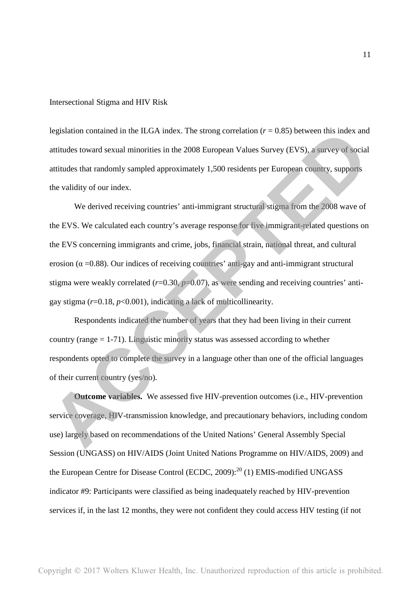legislation contained in the ILGA index. The strong correlation  $(r = 0.85)$  between this index and attitudes toward sexual minorities in the 2008 European Values Survey (EVS), a survey of social attitudes that randomly sampled approximately 1,500 residents per European country, supports the validity of our index.

We derived receiving countries' anti-immigrant structural stigma from the 2008 wave of the EVS. We calculated each country's average response for five immigrant-related questions on the EVS concerning immigrants and crime, jobs, financial strain, national threat, and cultural erosion ( $\alpha$  =0.88). Our indices of receiving countries' anti-gay and anti-immigrant structural stigma were weakly correlated  $(r=0.30, p=0.07)$ , as were sending and receiving countries' antigay stigma  $(r=0.18, p<0.001)$ , indicating a lack of multicollinearity. legislation contained in the ILGA index. The strong correlation  $(r - 0.85)$  between this index and<br>attitudes toward sexual minorities in the 2008 European Values Survey (EVS), a survey of social<br>attitudes that randomly sam

Respondents indicated the number of years that they had been living in their current country (range = 1-71). Linguistic minority status was assessed according to whether respondents opted to complete the survey in a language other than one of the official languages of their current country (yes/no).

**Outcome variables.** We assessed five HIV-prevention outcomes (i.e., HIV-prevention service coverage, HIV-transmission knowledge, and precautionary behaviors, including condom use) largely based on recommendations of the United Nations' General Assembly Special Session (UNGASS) on HIV/AIDS (Joint United Nations Programme on HIV/AIDS, 2009) and the European Centre for Disease Control (ECDC, 2009): $^{20}$  (1) EMIS-modified UNGASS indicator #9: Participants were classified as being inadequately reached by HIV-prevention services if, in the last 12 months, they were not confident they could access HIV testing (if not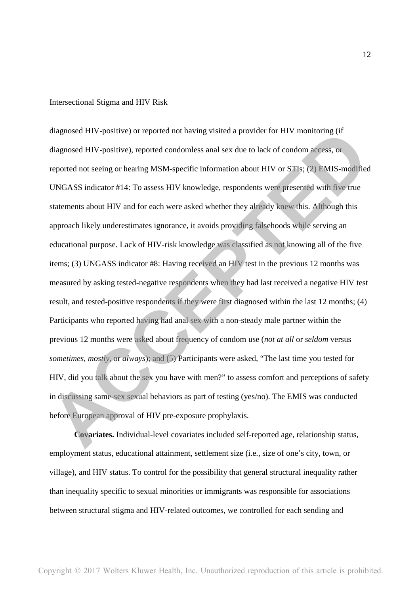diagnosed HIV-positive) or reported not having visited a provider for HIV monitoring (if diagnosed HIV-positive), reported condomless anal sex due to lack of condom access, or reported not seeing or hearing MSM-specific information about HIV or STIs; (2) EMIS-modified UNGASS indicator #14: To assess HIV knowledge, respondents were presented with five true statements about HIV and for each were asked whether they already knew this. Although this approach likely underestimates ignorance, it avoids providing falsehoods while serving an educational purpose. Lack of HIV-risk knowledge was classified as not knowing all of the five items; (3) UNGASS indicator #8: Having received an HIV test in the previous 12 months was measured by asking tested-negative respondents when they had last received a negative HIV test result, and tested-positive respondents if they were first diagnosed within the last 12 months; (4) Participants who reported having had anal sex with a non-steady male partner within the previous 12 months were asked about frequency of condom use (*not at all* or *seldom* versus *sometimes, mostly,* or *always*); and (5) Participants were asked, "The last time you tested for HIV, did you talk about the sex you have with men?" to assess comfort and perceptions of safety in discussing same-sex sexual behaviors as part of testing (yes/no). The EMIS was conducted before European approval of HIV pre-exposure prophylaxis. diagnosed HIV-positive) or reported not having visited a provider for HIV monitoring (if<br>diagnosed HIV-positive), reported condomless and sex due to lack of condom sceess, or<br>reported not seeing or hearing MSM-specific inf

**Covariates.** Individual-level covariates included self-reported age, relationship status, employment status, educational attainment, settlement size (i.e., size of one's city, town, or village), and HIV status. To control for the possibility that general structural inequality rather than inequality specific to sexual minorities or immigrants was responsible for associations between structural stigma and HIV-related outcomes, we controlled for each sending and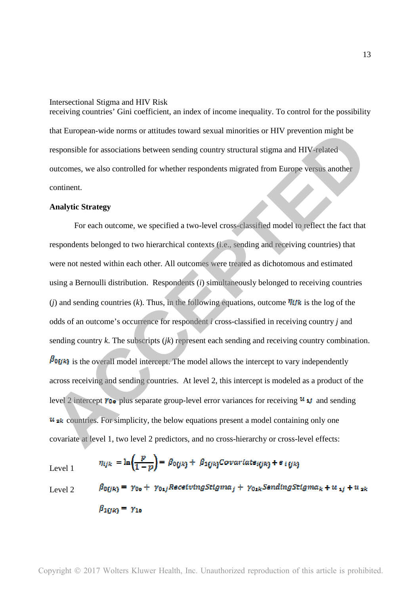receiving countries' Gini coefficient, an index of income inequality. To control for the possibility that European-wide norms or attitudes toward sexual minorities or HIV prevention might be responsible for associations between sending country structural stigma and HIV-related outcomes, we also controlled for whether respondents migrated from Europe versus another continent.

# **Analytic Strategy**

For each outcome, we specified a two-level cross-classified model to reflect the fact that respondents belonged to two hierarchical contexts (i.e., sending and receiving countries) that were not nested within each other. All outcomes were treated as dichotomous and estimated using a Bernoulli distribution. Respondents (*i*) simultaneously belonged to receiving countries (*j*) and sending countries (*k*). Thus, in the following equations, outcome  $\eta_{ijk}$  is the log of the odds of an outcome's occurrence for respondent *i* cross-classified in receiving country *j* and sending country *k*. The subscripts (*jk*) represent each sending and receiving country combination.  $\beta$ **OU** $\kappa$ ) is the overall model intercept. The model allows the intercept to vary independently across receiving and sending countries. At level 2, this intercept is modeled as a product of the level 2 intercept  $\gamma_{0\bullet}$  plus separate group-level error variances for receiving  $u_{ij}$  and sending  $u_{ik}$  countries. For simplicity, the below equations present a model containing only one covariate at level 1, two level 2 predictors, and no cross-hierarchy or cross-level effects: that European-wide norms or attitudes toward sexual minorities or HIV prevention might be<br>responsible for associations between sending country structural stigma and HIV related<br>outcomes, we also controlled for whether resp

$$
\eta_{ijk} = \ln\left(\frac{p}{1-p}\right) = \beta_{0ijk} + \beta_{1(jk)} \text{Covariate}_{i(jk)} + e_{i(jk)}
$$
\n
$$
\beta_{0(ik)} = \gamma_{00} + \gamma_{01i} \text{ReceivingStigma}_{i} + \gamma_{01k} \text{SendingStigma}_{k} + u
$$

Level 2

$$
\beta_{0(jk)} = \gamma_{00} + \gamma_{01j} RecelvingStigma_j + \gamma_{01k} SendingStigma_k + u_{1j} + u_{2k}
$$
  

$$
\beta_{1(jk)} = \gamma_{10}
$$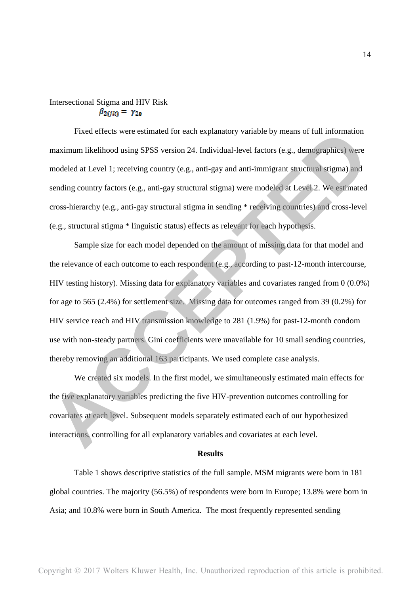# Intersectional Stigma and HIV Risk  $\beta_{2GK} = \gamma_{20}$

Fixed effects were estimated for each explanatory variable by means of full information maximum likelihood using SPSS version 24. Individual-level factors (e.g., demographics) were modeled at Level 1; receiving country (e.g., anti-gay and anti-immigrant structural stigma) and sending country factors (e.g., anti-gay structural stigma) were modeled at Level 2. We estimated cross-hierarchy (e.g., anti-gay structural stigma in sending \* receiving countries) and cross-level (e.g., structural stigma \* linguistic status) effects as relevant for each hypothesis.

Sample size for each model depended on the amount of missing data for that model and the relevance of each outcome to each respondent (e.g., according to past-12-month intercourse, HIV testing history). Missing data for explanatory variables and covariates ranged from 0 (0.0%) for age to 565 (2.4%) for settlement size. Missing data for outcomes ranged from 39 (0.2%) for HIV service reach and HIV transmission knowledge to 281 (1.9%) for past-12-month condom use with non-steady partners. Gini coefficients were unavailable for 10 small sending countries, thereby removing an additional 163 participants. We used complete case analysis. Fixed effects were estimated for each explanatory variable by means of full information<br>maximum likelihood using SPSS version 24. Individual-level factors (e.g., demographics) were<br>modeled at Level 1; receiving country (e.

We created six models. In the first model, we simultaneously estimated main effects for the five explanatory variables predicting the five HIV-prevention outcomes controlling for covariates at each level. Subsequent models separately estimated each of our hypothesized interactions, controlling for all explanatory variables and covariates at each level.

#### **Results**

Table 1 shows descriptive statistics of the full sample. MSM migrants were born in 181 global countries. The majority (56.5%) of respondents were born in Europe; 13.8% were born in Asia; and 10.8% were born in South America. The most frequently represented sending

14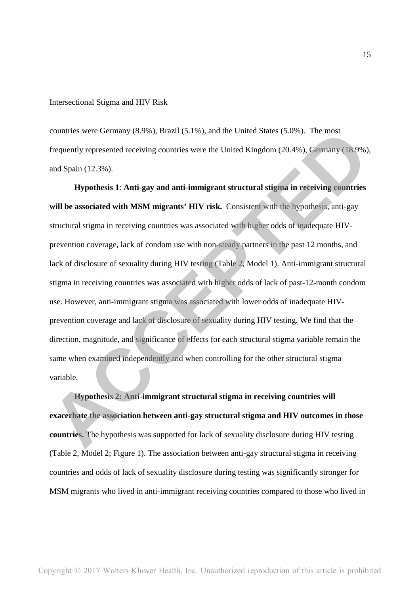countries were Germany (8.9%), Brazil (5.1%), and the United States (5.0%). The most frequently represented receiving countries were the United Kingdom (20.4%), Germany (18.9%), and Spain (12.3%).

**Hypothesis 1**: **Anti-gay and anti-immigrant structural stigma in receiving countries will be associated with MSM migrants' HIV risk.** Consistent with the hypothesis, anti-gay structural stigma in receiving countries was associated with higher odds of inadequate HIVprevention coverage, lack of condom use with non-steady partners in the past 12 months, and lack of disclosure of sexuality during HIV testing (Table 2, Model 1). Anti-immigrant structural stigma in receiving countries was associated with higher odds of lack of past-12-month condom use. However, anti-immigrant stigma was associated with lower odds of inadequate HIVprevention coverage and lack of disclosure of sexuality during HIV testing. We find that the direction, magnitude, and significance of effects for each structural stigma variable remain the same when examined independently and when controlling for the other structural stigma variable. countries were Germany (8.9%). Brazil (5.1%), and the United States (5.0%). The most<br>frequently represented receiving countries were the United Kingdom (20.4%), Germany (18.9%),<br>and Spain (12.3%).<br>**Although and Spain (12.3** 

**Hypothesis 2: Anti-immigrant structural stigma in receiving countries will exacerbate the association between anti-gay structural stigma and HIV outcomes in those countries.** The hypothesis was supported for lack of sexuality disclosure during HIV testing (Table 2, Model 2; Figure 1). The association between anti-gay structural stigma in receiving countries and odds of lack of sexuality disclosure during testing was significantly stronger for MSM migrants who lived in anti-immigrant receiving countries compared to those who lived in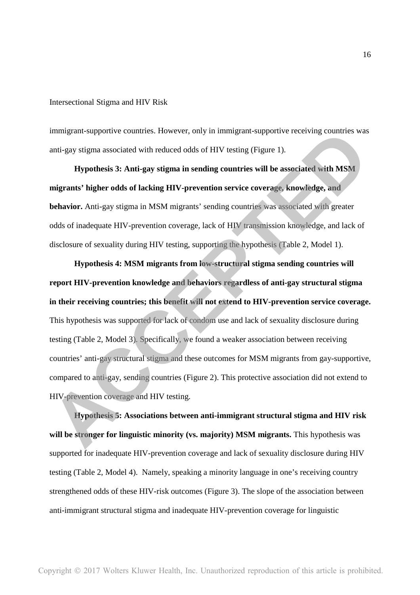immigrant-supportive countries. However, only in immigrant-supportive receiving countries was anti-gay stigma associated with reduced odds of HIV testing (Figure 1).

**Hypothesis 3: Anti-gay stigma in sending countries will be associated with MSM migrants' higher odds of lacking HIV-prevention service coverage, knowledge, and behavior.** Anti-gay stigma in MSM migrants' sending countries was associated with greater odds of inadequate HIV-prevention coverage, lack of HIV transmission knowledge, and lack of disclosure of sexuality during HIV testing, supporting the hypothesis (Table 2, Model 1).

**Hypothesis 4: MSM migrants from low-structural stigma sending countries will report HIV-prevention knowledge and behaviors regardless of anti-gay structural stigma in their receiving countries; this benefit will not extend to HIV-prevention service coverage.**  This hypothesis was supported for lack of condom use and lack of sexuality disclosure during testing (Table 2, Model 3). Specifically, we found a weaker association between receiving countries' anti-gay structural stigma and these outcomes for MSM migrants from gay-supportive, compared to anti-gay, sending countries (Figure 2). This protective association did not extend to HIV-prevention coverage and HIV testing. immigrant-supportive countries. However, only in immigrant-supportive receiving countries was anti-gay stigma associated with reduced odds of HIV testing (Figure 1).<br> **ACCEPTED** Hypothesis 3: Anti-gay stigma in sending cou

**Hypothesis 5: Associations between anti-immigrant structural stigma and HIV risk will be stronger for linguistic minority (vs. majority) MSM migrants.** This hypothesis was supported for inadequate HIV-prevention coverage and lack of sexuality disclosure during HIV testing (Table 2, Model 4). Namely, speaking a minority language in one's receiving country strengthened odds of these HIV-risk outcomes (Figure 3). The slope of the association between anti-immigrant structural stigma and inadequate HIV-prevention coverage for linguistic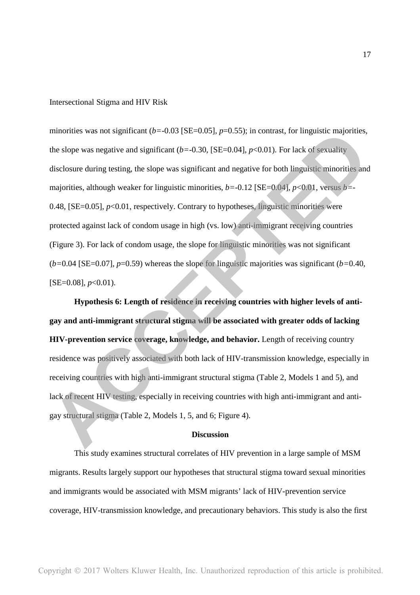minorities was not significant  $(b=0.03$  [SE=0.05],  $p=0.55$ ); in contrast, for linguistic majorities, the slope was negative and significant (*b=*-0.30, [SE=0.04], *p*<0.01). For lack of sexuality disclosure during testing, the slope was significant and negative for both linguistic minorities and majorities, although weaker for linguistic minorities, *b=*-0.12 [SE=0.04], *p*<0.01, versus *b=*- 0.48, [SE=0.05],  $p<0.01$ , respectively. Contrary to hypotheses, linguistic minorities were protected against lack of condom usage in high (vs. low) anti-immigrant receiving countries (Figure 3). For lack of condom usage, the slope for linguistic minorities was not significant (*b=*0.04 [SE=0.07], *p*=0.59) whereas the slope for linguistic majorities was significant (*b=*0.40,  $[SE=0.08]$ ,  $p<0.01$ ). minorities was not significant  $(b-0.03 \text{ [SE}-0.05], p-0.55)$ ; in contrast, for linguistic majorities,<br>the slope was negative and significant  $(b-0.30, \text{ [SE}-0.04], p<0.01)$ . For lack of sexuality<br>disclosure during testing, the s

**Hypothesis 6: Length of residence in receiving countries with higher levels of antigay and anti-immigrant structural stigma will be associated with greater odds of lacking HIV-prevention service coverage, knowledge, and behavior.** Length of receiving country residence was positively associated with both lack of HIV-transmission knowledge, especially in receiving countries with high anti-immigrant structural stigma (Table 2, Models 1 and 5), and lack of recent HIV testing, especially in receiving countries with high anti-immigrant and antigay structural stigma (Table 2, Models 1, 5, and 6; Figure 4).

#### **Discussion**

This study examines structural correlates of HIV prevention in a large sample of MSM migrants. Results largely support our hypotheses that structural stigma toward sexual minorities and immigrants would be associated with MSM migrants' lack of HIV-prevention service coverage, HIV-transmission knowledge, and precautionary behaviors. This study is also the first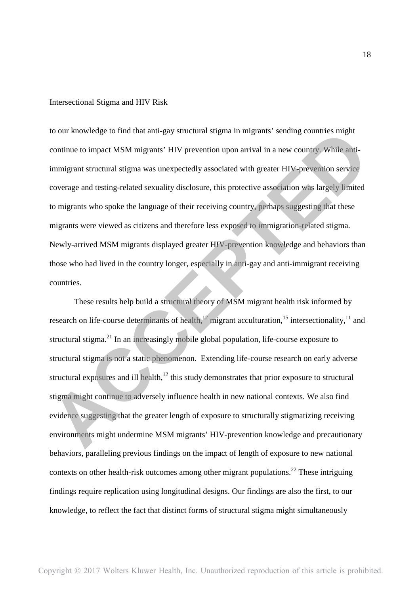to our knowledge to find that anti-gay structural stigma in migrants' sending countries might continue to impact MSM migrants' HIV prevention upon arrival in a new country. While antiimmigrant structural stigma was unexpectedly associated with greater HIV-prevention service coverage and testing-related sexuality disclosure, this protective association was largely limited to migrants who spoke the language of their receiving country, perhaps suggesting that these migrants were viewed as citizens and therefore less exposed to immigration-related stigma. Newly-arrived MSM migrants displayed greater HIV-prevention knowledge and behaviors than those who had lived in the country longer, especially in anti-gay and anti-immigrant receiving countries. to our knowledge to find that anti-gay structural stigma in migrants' sending countries might<br>continue to impact MSM migrants' HIV prevention upon arrival in a new country. While aiti-<br>immigrant structural stigma was unexp

These results help build a structural theory of MSM migrant health risk informed by research on life-course determinants of health, $12$  migrant acculturation, $15$  intersectionality, $11$  and structural stigma.<sup>21</sup> In an increasingly mobile global population, life-course exposure to structural stigma is not a static phenomenon. Extending life-course research on early adverse structural exposures and ill health, $12$  this study demonstrates that prior exposure to structural stigma might continue to adversely influence health in new national contexts. We also find evidence suggesting that the greater length of exposure to structurally stigmatizing receiving environments might undermine MSM migrants' HIV-prevention knowledge and precautionary behaviors, paralleling previous findings on the impact of length of exposure to new national contexts on other health-risk outcomes among other migrant populations.<sup>22</sup> These intriguing findings require replication using longitudinal designs. Our findings are also the first, to our knowledge, to reflect the fact that distinct forms of structural stigma might simultaneously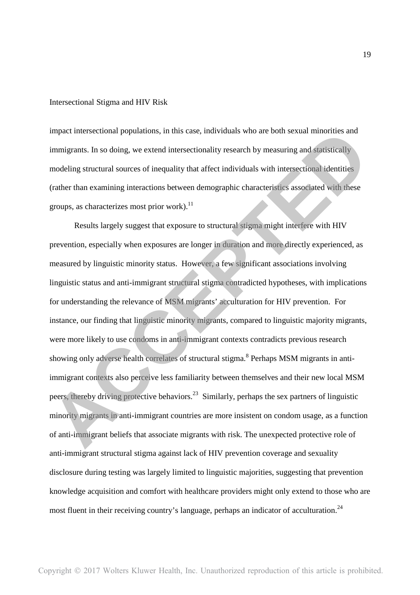impact intersectional populations, in this case, individuals who are both sexual minorities and immigrants. In so doing, we extend intersectionality research by measuring and statistically modeling structural sources of inequality that affect individuals with intersectional identities (rather than examining interactions between demographic characteristics associated with these groups, as characterizes most prior work). $^{11}$ 

Results largely suggest that exposure to structural stigma might interfere with HIV prevention, especially when exposures are longer in duration and more directly experienced, as measured by linguistic minority status. However, a few significant associations involving linguistic status and anti-immigrant structural stigma contradicted hypotheses, with implications for understanding the relevance of MSM migrants' acculturation for HIV prevention. For instance, our finding that linguistic minority migrants, compared to linguistic majority migrants, were more likely to use condoms in anti-immigrant contexts contradicts previous research showing only adverse health correlates of structural stigma.<sup>8</sup> Perhaps MSM migrants in antiimmigrant contexts also perceive less familiarity between themselves and their new local MSM peers, thereby driving protective behaviors.<sup>23</sup> Similarly, perhaps the sex partners of linguistic minority migrants in anti-immigrant countries are more insistent on condom usage, as a function of anti-immigrant beliefs that associate migrants with risk. The unexpected protective role of anti-immigrant structural stigma against lack of HIV prevention coverage and sexuality disclosure during testing was largely limited to linguistic majorities, suggesting that prevention knowledge acquisition and comfort with healthcare providers might only extend to those who are most fluent in their receiving country's language, perhaps an indicator of acculturation.<sup>24</sup> impact intersectional populations, in this case, individuals who are both sexual minorities and<br>immigrants. In so doing, we extend intersectionality research by measuring and statistically<br>modeling structural sources of in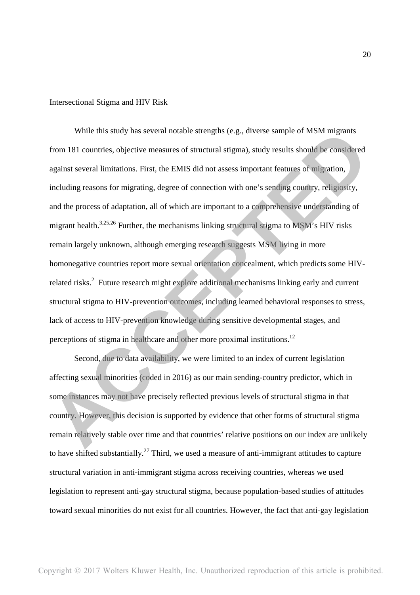While this study has several notable strengths (e.g., diverse sample of MSM migrants from 181 countries, objective measures of structural stigma), study results should be considered against several limitations. First, the EMIS did not assess important features of migration, including reasons for migrating, degree of connection with one's sending country, religiosity, and the process of adaptation, all of which are important to a comprehensive understanding of migrant health.<sup>3,25,26</sup> Further, the mechanisms linking structural stigma to MSM's HIV risks remain largely unknown, although emerging research suggests MSM living in more homonegative countries report more sexual orientation concealment, which predicts some HIVrelated risks.<sup>2</sup> Future research might explore additional mechanisms linking early and current structural stigma to HIV-prevention outcomes, including learned behavioral responses to stress, lack of access to HIV-prevention knowledge during sensitive developmental stages, and perceptions of stigma in healthcare and other more proximal institutions.<sup>12</sup> While this study has several notable strengths (e.g., diverse sample of MSM migrants<br>from 181 countries, objective measures of structural stigma), study results should be considered<br>against several limitations. First, the

Second, due to data availability, we were limited to an index of current legislation affecting sexual minorities (coded in 2016) as our main sending-country predictor, which in some instances may not have precisely reflected previous levels of structural stigma in that country. However, this decision is supported by evidence that other forms of structural stigma remain relatively stable over time and that countries' relative positions on our index are unlikely to have shifted substantially.<sup>27</sup> Third, we used a measure of anti-immigrant attitudes to capture structural variation in anti-immigrant stigma across receiving countries, whereas we used legislation to represent anti-gay structural stigma, because population-based studies of attitudes toward sexual minorities do not exist for all countries. However, the fact that anti-gay legislation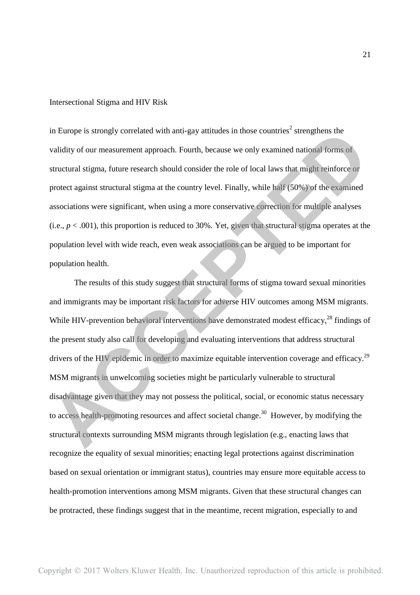in Europe is strongly correlated with anti-gay attitudes in those countries<sup>2</sup> strengthens the validity of our measurement approach. Fourth, because we only examined national forms of structural stigma, future research should consider the role of local laws that might reinforce or protect against structural stigma at the country level. Finally, while half (50%) of the examined associations were significant, when using a more conservative correction for multiple analyses (i.e.,  $p < .001$ ), this proportion is reduced to 30%. Yet, given that structural stigma operates at the population level with wide reach, even weak associations can be argued to be important for population health.

The results of this study suggest that structural forms of stigma toward sexual minorities and immigrants may be important risk factors for adverse HIV outcomes among MSM migrants. While HIV-prevention behavioral interventions have demonstrated modest efficacy,<sup>28</sup> findings of the present study also call for developing and evaluating interventions that address structural drivers of the HIV epidemic in order to maximize equitable intervention coverage and efficacy.<sup>29</sup> MSM migrants in unwelcoming societies might be particularly vulnerable to structural disadvantage given that they may not possess the political, social, or economic status necessary to access health-promoting resources and affect societal change.<sup>30</sup> However, by modifying the structural contexts surrounding MSM migrants through legislation (e.g., enacting laws that recognize the equality of sexual minorities; enacting legal protections against discrimination based on sexual orientation or immigrant status), countries may ensure more equitable access to health-promotion interventions among MSM migrants. Given that these structural changes can be protracted, these findings suggest that in the meantime, recent migration, especially to and in Europe is strongly correlated with anti-gay attitudes in those countries' strengthens the<br>validity of our measurement approach. Fourth, because we only examined national forms of<br>structural stigma, future research shou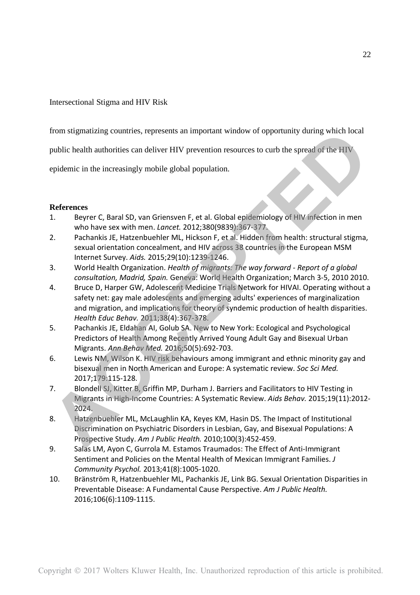from stigmatizing countries, represents an important window of opportunity during which local

public health authorities can deliver HIV prevention resources to curb the spread of the HIV

epidemic in the increasingly mobile global population.

# **References**

- 1. Beyrer C, Baral SD, van Griensven F, et al. Global epidemiology of HIV infection in men who have sex with men. *Lancet.* 2012;380(9839):367-377.
- 2. Pachankis JE, Hatzenbuehler ML, Hickson F, et al. Hidden from health: structural stigma, sexual orientation concealment, and HIV across 38 countries in the European MSM Internet Survey. *Aids.* 2015;29(10):1239-1246.
- 3. World Health Organization. *Health of migrants: The way forward Report of a global consultation, Madrid, Spain.* Geneva: World Health Organization; March 3-5, 2010 2010.
- 4. Bruce D, Harper GW, Adolescent Medicine Trials Network for HIVAI. Operating without a safety net: gay male adolescents and emerging adults' experiences of marginalization and migration, and implications for theory of syndemic production of health disparities. *Health Educ Behav.* 2011;38(4):367-378. Irom stigmatizing countries, represents an important window of opportunity during which local<br>public health authorities can deliver HIV prevention resources to curb the spread of the HIV<br>epidemic in the increasingly mobile
- 5. Pachankis JE, Eldahan AI, Golub SA. New to New York: Ecological and Psychological Predictors of Health Among Recently Arrived Young Adult Gay and Bisexual Urban Migrants. *Ann Behav Med.* 2016;50(5):692-703.
- 6. Lewis NM, Wilson K. HIV risk behaviours among immigrant and ethnic minority gay and bisexual men in North American and Europe: A systematic review. *Soc Sci Med.*  2017;179:115-128.
- 7. Blondell SJ, Kitter B, Griffin MP, Durham J. Barriers and Facilitators to HIV Testing in Migrants in High-Income Countries: A Systematic Review. *Aids Behav.* 2015;19(11):2012- 2024.
- 8. Hatzenbuehler ML, McLaughlin KA, Keyes KM, Hasin DS. The Impact of Institutional Discrimination on Psychiatric Disorders in Lesbian, Gay, and Bisexual Populations: A Prospective Study. *Am J Public Health.* 2010;100(3):452-459.
- 9. Salas LM, Ayon C, Gurrola M. Estamos Traumados: The Effect of Anti-Immigrant Sentiment and Policies on the Mental Health of Mexican Immigrant Families. *J Community Psychol.* 2013;41(8):1005-1020.
- 10. Bränström R, Hatzenbuehler ML, Pachankis JE, Link BG. Sexual Orientation Disparities in Preventable Disease: A Fundamental Cause Perspective. *Am J Public Health.*  2016;106(6):1109-1115.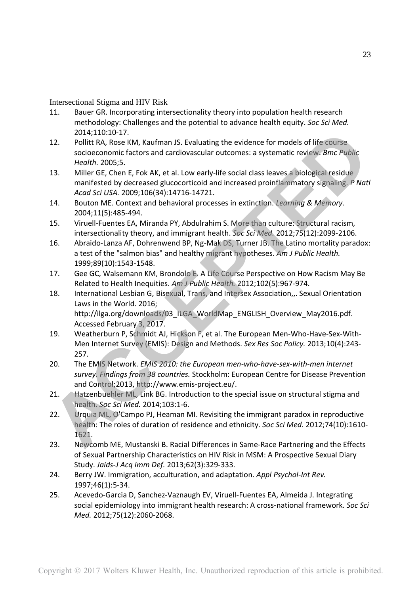- 11. Bauer GR. Incorporating intersectionality theory into population health research methodology: Challenges and the potential to advance health equity. *Soc Sci Med.*  2014;110:10-17.
- 12. Pollitt RA, Rose KM, Kaufman JS. Evaluating the evidence for models of life course socioeconomic factors and cardiovascular outcomes: a systematic review. *Bmc Public Health.* 2005;5.
- 13. Miller GE, Chen E, Fok AK, et al. Low early-life social class leaves a biological residue manifested by decreased glucocorticoid and increased proinflammatory signaling. *P Natl Acad Sci USA.* 2009;106(34):14716-14721.
- 14. Bouton ME. Context and behavioral processes in extinction. *Learning & Memory.*  2004;11(5):485-494.
- 15. Viruell-Fuentes EA, Miranda PY, Abdulrahim S. More than culture: Structural racism, intersectionality theory, and immigrant health. *Soc Sci Med.* 2012;75(12):2099-2106.
- 16. Abraido-Lanza AF, Dohrenwend BP, Ng-Mak DS, Turner JB. The Latino mortality paradox: a test of the "salmon bias" and healthy migrant hypotheses. *Am J Public Health.*  1999;89(10):1543-1548.
- 17. Gee GC, Walsemann KM, Brondolo E. A Life Course Perspective on How Racism May Be Related to Health Inequities. *Am J Public Health.* 2012;102(5):967-974.
- 18. International Lesbian G, Bisexual, Trans, and Intersex Association,,. Sexual Orientation Laws in the World. 2016; http://ilga.org/downloads/03\_ILGA\_WorldMap\_ENGLISH\_Overview\_May2016.pdf. Accessed February 3, 2017. 2014;110:10-17.<br>
2014 Politic RA, Rose KM, Kaufman IS. Evaluating the evidence for models of life course<br>
socioeconomic factors and cardiovascular outcomes: a systematic review. *Bmc Public*<br>
Herelth, 2005:5.<br>
13. Miller G
- 19. Weatherburn P, Schmidt AJ, Hickson F, et al. The European Men-Who-Have-Sex-With-Men Internet Survey (EMIS): Design and Methods. *Sex Res Soc Policy.* 2013;10(4):243- 257.
- 20. The EMIS Network. *EMIS 2010: the European men-who-have-sex-with-men internet survey. Findings from 38 countries.* Stockholm: European Centre for Disease Prevention and Control;2013, http://www.emis-project.eu/.
- 21. Hatzenbuehler ML, Link BG. Introduction to the special issue on structural stigma and health. *Soc Sci Med.* 2014;103:1-6.
- 22. Urquia ML, O'Campo PJ, Heaman MI. Revisiting the immigrant paradox in reproductive health: The roles of duration of residence and ethnicity. *Soc Sci Med.* 2012;74(10):1610- 1621.
- 23. Newcomb ME, Mustanski B. Racial Differences in Same-Race Partnering and the Effects of Sexual Partnership Characteristics on HIV Risk in MSM: A Prospective Sexual Diary Study. *Jaids-J Acq Imm Def.* 2013;62(3):329-333.
- 24. Berry JW. Immigration, acculturation, and adaptation. *Appl Psychol-Int Rev.*  1997;46(1):5-34.
- 25. Acevedo-Garcia D, Sanchez-Vaznaugh EV, Viruell-Fuentes EA, Almeida J. Integrating social epidemiology into immigrant health research: A cross-national framework. *Soc Sci Med.* 2012;75(12):2060-2068.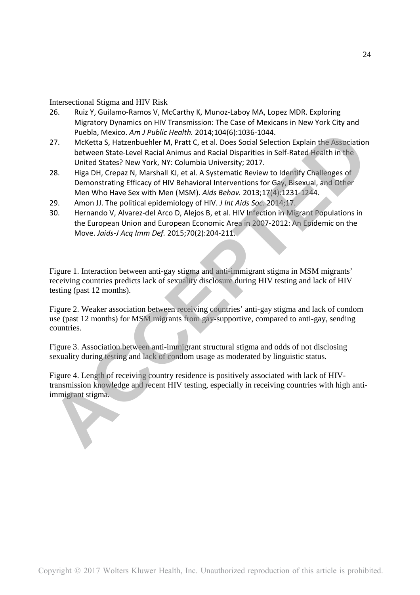- 26. Ruiz Y, Guilamo-Ramos V, McCarthy K, Munoz-Laboy MA, Lopez MDR. Exploring Migratory Dynamics on HIV Transmission: The Case of Mexicans in New York City and Puebla, Mexico. *Am J Public Health.* 2014;104(6):1036-1044.
- 27. McKetta S, Hatzenbuehler M, Pratt C, et al. Does Social Selection Explain the Association between State-Level Racial Animus and Racial Disparities in Self-Rated Health in the United States? New York, NY: Columbia University; 2017.
- 28. Higa DH, Crepaz N, Marshall KJ, et al. A Systematic Review to Identify Challenges of Demonstrating Efficacy of HIV Behavioral Interventions for Gay, Bisexual, and Other Men Who Have Sex with Men (MSM). *Aids Behav.* 2013;17(4):1231-1244. Publish *Mexico*. *Am F Publish Health.* 2014;100(6):1035-1044.<br>
22. McKelta S, Hatzenbuehler M, Pratt C, et al. Does Social Selection Explain flie Association<br>
between State Level Racial Animus and Racial Disparities in S
- 29. Amon JJ. The political epidemiology of HIV. *J Int Aids Soc.* 2014;17.
- 30. Hernando V, Alvarez-del Arco D, Alejos B, et al. HIV Infection in Migrant Populations in the European Union and European Economic Area in 2007-2012: An Epidemic on the Move. *Jaids-J Acq Imm Def.* 2015;70(2):204-211.

Figure 1. Interaction between anti-gay stigma and anti-immigrant stigma in MSM migrants' receiving countries predicts lack of sexuality disclosure during HIV testing and lack of HIV testing (past 12 months).

Figure 2. Weaker association between receiving countries' anti-gay stigma and lack of condom use (past 12 months) for MSM migrants from gay-supportive, compared to anti-gay, sending countries.

Figure 3. Association between anti-immigrant structural stigma and odds of not disclosing sexuality during testing and lack of condom usage as moderated by linguistic status.

Figure 4. Length of receiving country residence is positively associated with lack of HIVtransmission knowledge and recent HIV testing, especially in receiving countries with high anti-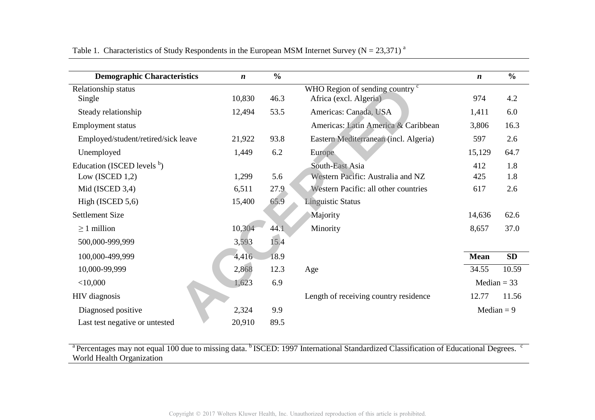| <b>Demographic Characteristics</b>  | $\boldsymbol{n}$ | $\frac{0}{0}$ |                                                                                                                                                            | $\boldsymbol{n}$ | $\frac{0}{0}$ |
|-------------------------------------|------------------|---------------|------------------------------------------------------------------------------------------------------------------------------------------------------------|------------------|---------------|
| Relationship status                 |                  |               | WHO Region of sending country <sup>c</sup>                                                                                                                 |                  |               |
| Single                              | 10,830           | 46.3          | Africa (excl. Algeria)                                                                                                                                     | 974              | 4.2           |
| Steady relationship                 | 12,494           | 53.5          | Americas: Canada, USA                                                                                                                                      | 1,411            | 6.0           |
| <b>Employment status</b>            |                  |               | Americas: Latin America & Caribbean                                                                                                                        | 3,806            | 16.3          |
| Employed/student/retired/sick leave | 21,922           | 93.8          | Eastern Mediterranean (incl. Algeria)                                                                                                                      | 597              | 2.6           |
| Unemployed                          | 1,449            | 6.2           | Europe                                                                                                                                                     | 15,129           | 64.7          |
| Education (ISCED levels $b$ )       |                  |               | South-East Asia                                                                                                                                            | 412              | 1.8           |
| Low (ISCED $1,2$ )                  | 1,299            | 5.6           | Western Pacific: Australia and NZ                                                                                                                          | 425              | 1.8           |
| Mid (ISCED 3,4)                     | 6,511            | 27.9          | Western Pacific: all other countries                                                                                                                       | 617              | 2.6           |
| High (ISCED $5,6$ )                 | 15,400           | 65.9          | <b>Linguistic Status</b>                                                                                                                                   |                  |               |
| <b>Settlement Size</b>              |                  |               | Majority                                                                                                                                                   | 14,636           | 62.6          |
| $\geq$ 1 million                    | 10,304           | 44.1          | Minority                                                                                                                                                   | 8,657            | 37.0          |
| 500,000-999,999                     | 3,593            | 15.4          |                                                                                                                                                            |                  |               |
| 100,000-499,999                     | 4,416            | 18.9          |                                                                                                                                                            | <b>Mean</b>      | SD            |
| 10,000-99,999                       | 2,868            | 12.3          | Age                                                                                                                                                        | 34.55            | 10.59         |
| $<$ 10,000                          | 1,623            | 6.9           |                                                                                                                                                            | Median $=$ 33    |               |
| HIV diagnosis                       |                  |               | Length of receiving country residence                                                                                                                      | 12.77            | 11.56         |
| Diagnosed positive                  | 2,324            | 9.9           |                                                                                                                                                            | Median $= 9$     |               |
| Last test negative or untested      | 20,910           | 89.5          |                                                                                                                                                            |                  |               |
|                                     |                  |               | <sup>a</sup> Percentages may not equal 100 due to missing data. <sup>b</sup> ISCED: 1997 International Standardized Classification of Educational Degrees. |                  |               |
| World Health Organization           |                  |               |                                                                                                                                                            |                  |               |

Table 1. Characteristics of Study Respondents in the European MSM Internet Survey ( $N = 23,371$ )<sup>a</sup>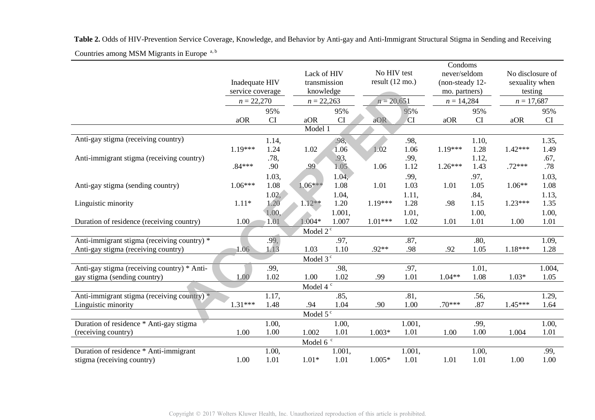|                                             | Inadequate HIV<br>service coverage<br>$n = 22,270$ |       | Lack of HIV<br>transmission<br>knowledge<br>$n = 22,263$ |        |           | No HIV test<br>result $(12 \text{ mo.})$<br>$n = 20,651$ |           | Condoms<br>never/seldom<br>(non-steady 12-<br>mo. partners)<br>$n = 14,284$ |           | No disclosure of<br>sexuality when<br>testing<br>$n = 17,687$ |  |  |  |
|---------------------------------------------|----------------------------------------------------|-------|----------------------------------------------------------|--------|-----------|----------------------------------------------------------|-----------|-----------------------------------------------------------------------------|-----------|---------------------------------------------------------------|--|--|--|
|                                             |                                                    |       |                                                          |        |           |                                                          |           |                                                                             |           |                                                               |  |  |  |
|                                             |                                                    |       |                                                          |        |           |                                                          |           |                                                                             |           |                                                               |  |  |  |
|                                             |                                                    | 95%   |                                                          | 95%    |           | 95%                                                      |           | 95%                                                                         |           | 95%                                                           |  |  |  |
|                                             | aOR                                                | CI    | aOR                                                      | CI     | aOR       | <b>CI</b>                                                | aOR       | <b>CI</b>                                                                   | aOR       | CI                                                            |  |  |  |
| Model 1                                     |                                                    |       |                                                          |        |           |                                                          |           |                                                                             |           |                                                               |  |  |  |
| Anti-gay stigma (receiving country)         |                                                    | 1.14, |                                                          | .98,   |           | .98,                                                     |           | 1.10,                                                                       |           | 1.35,                                                         |  |  |  |
|                                             | 1.19***                                            | 1.24  | 1.02                                                     | 1.06   | 1.02      | 1.06                                                     | $1.19***$ | 1.28                                                                        | $1.42***$ | 1.49                                                          |  |  |  |
| Anti-immigrant stigma (receiving country)   |                                                    | .78,  |                                                          | .93,   |           | .99,                                                     |           | 1.12,                                                                       |           | .67,                                                          |  |  |  |
|                                             | $.84***$                                           | .90   | .99                                                      | 1.05   | 1.06      | 1.12                                                     | $1.26***$ | 1.43                                                                        | $.72***$  | .78                                                           |  |  |  |
|                                             |                                                    | 1.03, |                                                          | 1.04,  |           | .99,                                                     |           | .97,                                                                        |           | 1.03,                                                         |  |  |  |
| Anti-gay stigma (sending country)           | $1.06***$                                          | 1.08  | $1.06***$                                                | 1.08   | 1.01      | 1.03                                                     | 1.01      | 1.05                                                                        | $1.06**$  | 1.08                                                          |  |  |  |
|                                             |                                                    | 1.02, |                                                          | 1.04,  |           | 1.11,                                                    |           | .84,                                                                        |           | 1.13,                                                         |  |  |  |
| Linguistic minority                         | $1.11*$                                            | 1.20  | $1.12**$                                                 | 1.20   | 1.19***   | 1.28                                                     | .98       | 1.15                                                                        | $1.23***$ | 1.35                                                          |  |  |  |
|                                             |                                                    | 1.00, |                                                          | 1.001, |           | 1.01,                                                    |           | 1.00,                                                                       |           | 1.00,                                                         |  |  |  |
| Duration of residence (receiving country)   | 1.00 <sub>1</sub>                                  | 1.01  | $1.004*$                                                 | 1.007  | $1.01***$ | 1.02                                                     | 1.01      | 1.01                                                                        | 1.00      | 1.01                                                          |  |  |  |
| Model $2^c$                                 |                                                    |       |                                                          |        |           |                                                          |           |                                                                             |           |                                                               |  |  |  |
| Anti-immigrant stigma (receiving country) * |                                                    | .99,  |                                                          | .97,   |           | .87,                                                     |           | .80,                                                                        |           | 1.09,                                                         |  |  |  |
| Anti-gay stigma (receiving country)         | 1.06                                               | 1.13  | 1.03                                                     | 1.10   | $.92**$   | .98                                                      | .92       | 1.05                                                                        | $1.18***$ | 1.28                                                          |  |  |  |
|                                             |                                                    |       | Model 3 <sup>c</sup>                                     |        |           |                                                          |           |                                                                             |           |                                                               |  |  |  |
| Anti-gay stigma (receiving country) * Anti- |                                                    | .99,  |                                                          | .98,   |           | .97,                                                     |           | 1.01,                                                                       |           | 1.004,                                                        |  |  |  |
| gay stigma (sending country)                | 1.00                                               | 1.02  | 1.00                                                     | 1.02   | .99       | 1.01                                                     | $1.04**$  | 1.08                                                                        | $1.03*$   | 1.05                                                          |  |  |  |
|                                             |                                                    |       | Model 4 $^{\rm c}$                                       |        |           |                                                          |           |                                                                             |           |                                                               |  |  |  |
| Anti-immigrant stigma (receiving country) * |                                                    | 1.17, |                                                          | .85,   |           | .81,                                                     |           | .56,                                                                        |           | 1.29,                                                         |  |  |  |
| Linguistic minority                         | $1.31***$                                          | 1.48  | .94                                                      | 1.04   | .90       | 1.00                                                     | $.70***$  | .87                                                                         | $1.45***$ | 1.64                                                          |  |  |  |
| Model $5^{\circ}$                           |                                                    |       |                                                          |        |           |                                                          |           |                                                                             |           |                                                               |  |  |  |
| Duration of residence * Anti-gay stigma     |                                                    | 1.00, |                                                          | 1.00,  |           | 1.001,                                                   |           | .99,                                                                        |           | 1.00,                                                         |  |  |  |
| (receiving country)                         | 1.00                                               | 1.00  | 1.002                                                    | 1.01   | $1.003*$  | 1.01                                                     | 1.00      | 1.00                                                                        | 1.004     | 1.01                                                          |  |  |  |
|                                             |                                                    |       | Model 6 $\degree$                                        |        |           |                                                          |           |                                                                             |           |                                                               |  |  |  |
| Duration of residence * Anti-immigrant      |                                                    | 1.00, |                                                          | 1.001, |           | 1.001,                                                   |           | 1.00,                                                                       |           | .99,                                                          |  |  |  |
| stigma (receiving country)                  | 1.00                                               | 1.01  | $1.01*$                                                  | 1.01   | $1.005*$  | 1.01                                                     | 1.01      | 1.01                                                                        | 1.00      | 1.00                                                          |  |  |  |

Countries among MSM Migrants in Europe a, b **Table 2.** Odds of HIV-Prevention Service Coverage, Knowledge, and Behavior by Anti-gay and Anti-Immigrant Structural Stigma in Sending and Receiving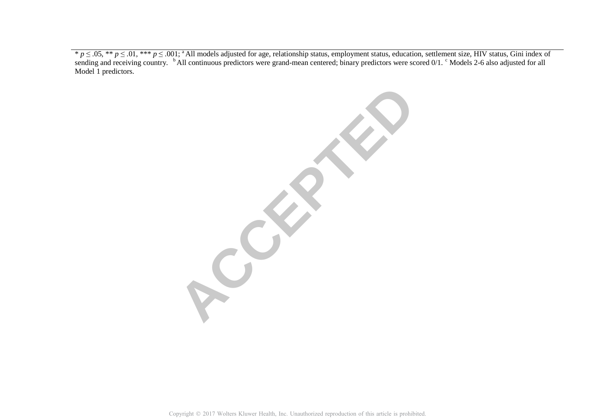\*  $p \leq .05$ , \*\*  $p \leq .01$ , \*\*\*  $p \leq .001$ ; <sup>a</sup> All models adjusted for age, relationship status, employment status, education, settlement size, HIV status, Gini index of sending and receiving country. <sup>b</sup> All continuous p Model 1 predictors.

**ACCEPTED**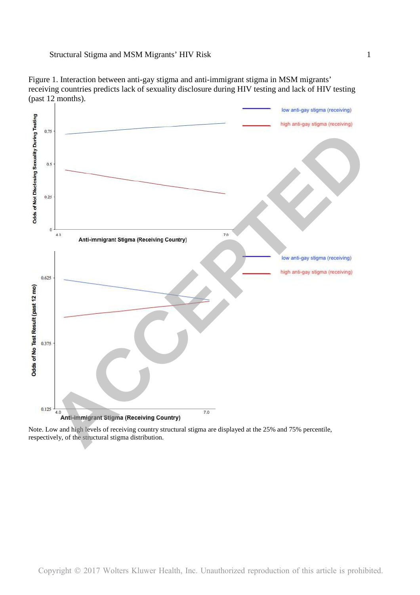

Figure 1. Interaction between anti-gay stigma and anti-immigrant stigma in MSM migrants' receiving countries predicts lack of sexuality disclosure during HIV testing and lack of HIV testing (past 12 months).

Note. Low and high levels of receiving country structural stigma are displayed at the 25% and 75% percentile, respectively, of the structural stigma distribution.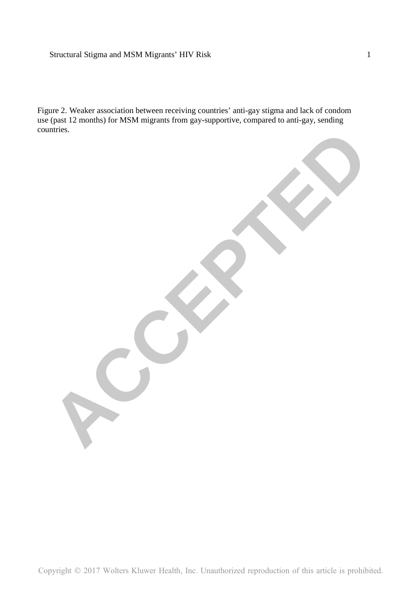# Structural Stigma and MSM Migrants' HIV Risk 1

Figure 2. Weaker association between receiving countries' anti-gay stigma and lack of condom use (past 12 months) for MSM migrants from gay-supportive, compared to anti-gay, sending countries.

**ACCEPTED**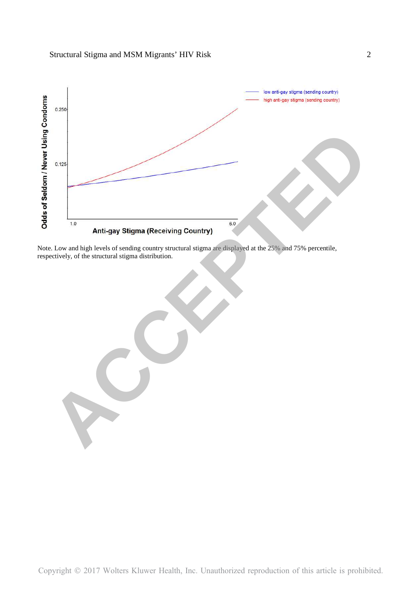

Note. Low and high levels of sending country structural stigma are displayed at the 25% and 75% percentile,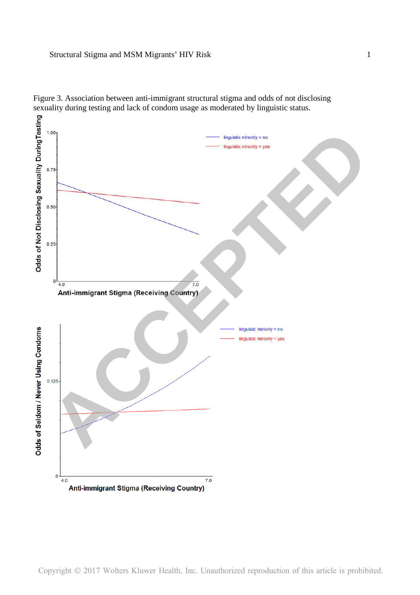

Figure 3. Association between anti-immigrant structural stigma and odds of not disclosing sexuality during testing and lack of condom usage as moderated by linguistic status.